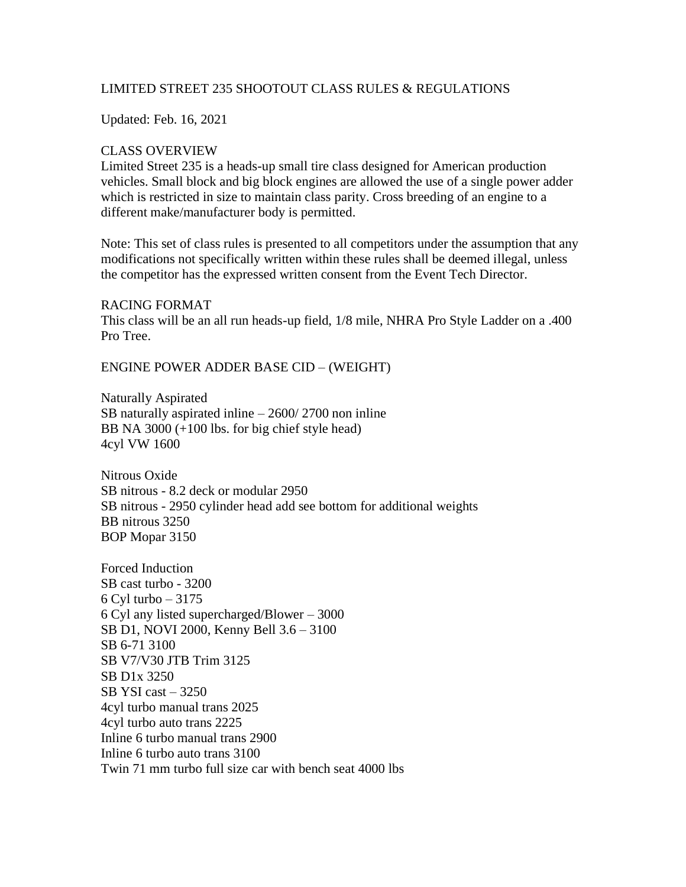## LIMITED STREET 235 SHOOTOUT CLASS RULES & REGULATIONS

Updated: Feb. 16, 2021

#### CLASS OVERVIEW

Limited Street 235 is a heads-up small tire class designed for American production vehicles. Small block and big block engines are allowed the use of a single power adder which is restricted in size to maintain class parity. Cross breeding of an engine to a different make/manufacturer body is permitted.

Note: This set of class rules is presented to all competitors under the assumption that any modifications not specifically written within these rules shall be deemed illegal, unless the competitor has the expressed written consent from the Event Tech Director.

#### RACING FORMAT

This class will be an all run heads-up field, 1/8 mile, NHRA Pro Style Ladder on a .400 Pro Tree.

ENGINE POWER ADDER BASE CID – (WEIGHT)

Naturally Aspirated SB naturally aspirated inline – 2600/ 2700 non inline BB NA 3000 (+100 lbs. for big chief style head) 4cyl VW 1600

Nitrous Oxide SB nitrous - 8.2 deck or modular 2950 SB nitrous - 2950 cylinder head add see bottom for additional weights BB nitrous 3250 BOP Mopar 3150

Forced Induction SB cast turbo - 3200 6 Cyl turbo – 3175 6 Cyl any listed supercharged/Blower – 3000 SB D1, NOVI 2000, Kenny Bell 3.6 – 3100 SB 6-71 3100 SB V7/V30 JTB Trim 3125 SB D1x 3250 SB YSI cast  $-3250$ 4cyl turbo manual trans 2025 4cyl turbo auto trans 2225 Inline 6 turbo manual trans 2900 Inline 6 turbo auto trans 3100 Twin 71 mm turbo full size car with bench seat 4000 lbs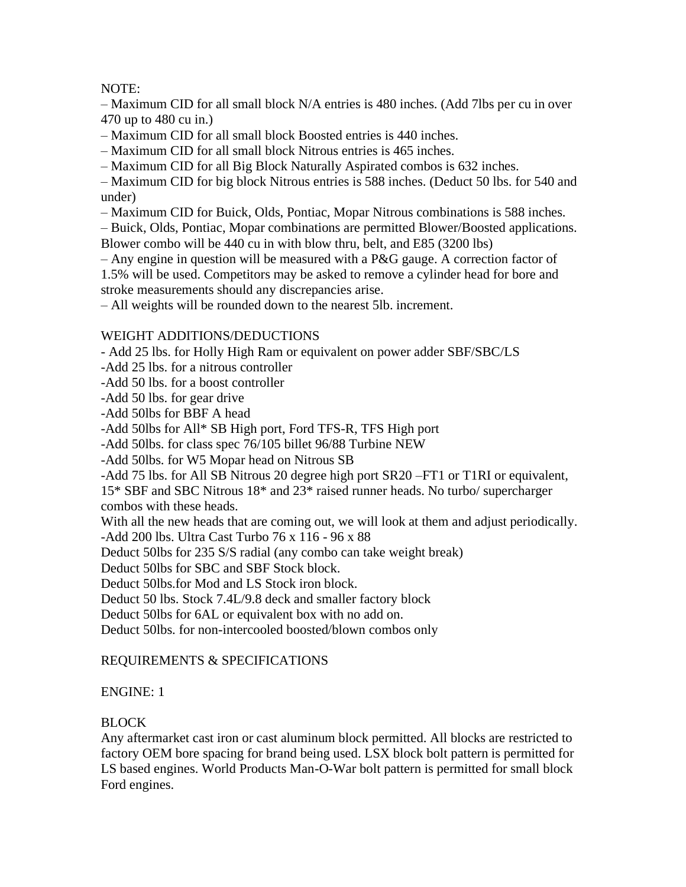# NOTE:

– Maximum CID for all small block N/A entries is 480 inches. (Add 7lbs per cu in over 470 up to 480 cu in.)

– Maximum CID for all small block Boosted entries is 440 inches.

– Maximum CID for all small block Nitrous entries is 465 inches.

– Maximum CID for all Big Block Naturally Aspirated combos is 632 inches.

– Maximum CID for big block Nitrous entries is 588 inches. (Deduct 50 lbs. for 540 and under)

– Maximum CID for Buick, Olds, Pontiac, Mopar Nitrous combinations is 588 inches.

– Buick, Olds, Pontiac, Mopar combinations are permitted Blower/Boosted applications. Blower combo will be 440 cu in with blow thru, belt, and E85 (3200 lbs)

– Any engine in question will be measured with a P&G gauge. A correction factor of

1.5% will be used. Competitors may be asked to remove a cylinder head for bore and stroke measurements should any discrepancies arise.

– All weights will be rounded down to the nearest 5lb. increment.

## WEIGHT ADDITIONS/DEDUCTIONS

- Add 25 lbs. for Holly High Ram or equivalent on power adder SBF/SBC/LS

-Add 25 lbs. for a nitrous controller

-Add 50 lbs. for a boost controller

-Add 50 lbs. for gear drive

-Add 50lbs for BBF A head

-Add 50lbs for All\* SB High port, Ford TFS-R, TFS High port

-Add 50lbs. for class spec 76/105 billet 96/88 Turbine NEW

-Add 50lbs. for W5 Mopar head on Nitrous SB

-Add 75 lbs. for All SB Nitrous 20 degree high port SR20 –FT1 or T1RI or equivalent,

15\* SBF and SBC Nitrous 18\* and 23\* raised runner heads. No turbo/ supercharger combos with these heads.

With all the new heads that are coming out, we will look at them and adjust periodically.

-Add 200 lbs. Ultra Cast Turbo 76 x 116 - 96 x 88

Deduct 50lbs for 235 S/S radial (any combo can take weight break)

Deduct 50lbs for SBC and SBF Stock block.

Deduct 50lbs.for Mod and LS Stock iron block.

Deduct 50 lbs. Stock 7.4L/9.8 deck and smaller factory block

Deduct 50lbs for 6AL or equivalent box with no add on.

Deduct 50lbs. for non-intercooled boosted/blown combos only

# REQUIREMENTS & SPECIFICATIONS

# ENGINE: 1

# BLOCK

Any aftermarket cast iron or cast aluminum block permitted. All blocks are restricted to factory OEM bore spacing for brand being used. LSX block bolt pattern is permitted for LS based engines. World Products Man-O-War bolt pattern is permitted for small block Ford engines.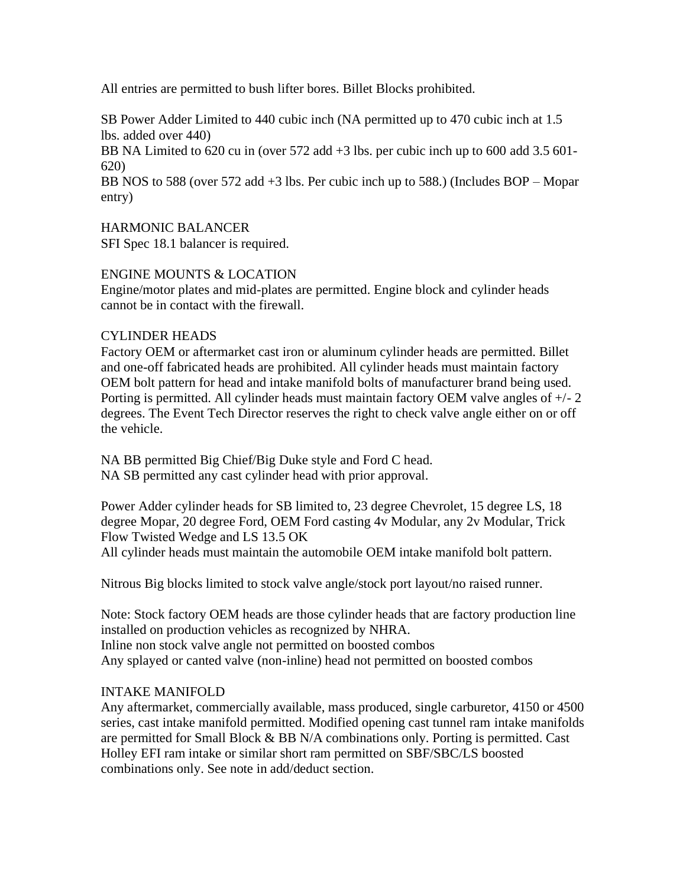All entries are permitted to bush lifter bores. Billet Blocks prohibited.

SB Power Adder Limited to 440 cubic inch (NA permitted up to 470 cubic inch at 1.5 lbs. added over 440)

BB NA Limited to 620 cu in (over 572 add +3 lbs. per cubic inch up to 600 add 3.5 601-620)

BB NOS to 588 (over 572 add +3 lbs. Per cubic inch up to 588.) (Includes BOP – Mopar entry)

HARMONIC BALANCER

SFI Spec 18.1 balancer is required.

## ENGINE MOUNTS & LOCATION

Engine/motor plates and mid-plates are permitted. Engine block and cylinder heads cannot be in contact with the firewall.

## CYLINDER HEADS

Factory OEM or aftermarket cast iron or aluminum cylinder heads are permitted. Billet and one-off fabricated heads are prohibited. All cylinder heads must maintain factory OEM bolt pattern for head and intake manifold bolts of manufacturer brand being used. Porting is permitted. All cylinder heads must maintain factory OEM valve angles of +/- 2 degrees. The Event Tech Director reserves the right to check valve angle either on or off the vehicle.

NA BB permitted Big Chief/Big Duke style and Ford C head. NA SB permitted any cast cylinder head with prior approval.

Power Adder cylinder heads for SB limited to, 23 degree Chevrolet, 15 degree LS, 18 degree Mopar, 20 degree Ford, OEM Ford casting 4v Modular, any 2v Modular, Trick Flow Twisted Wedge and LS 13.5 OK All cylinder heads must maintain the automobile OEM intake manifold bolt pattern.

Nitrous Big blocks limited to stock valve angle/stock port layout/no raised runner.

Note: Stock factory OEM heads are those cylinder heads that are factory production line installed on production vehicles as recognized by NHRA. Inline non stock valve angle not permitted on boosted combos Any splayed or canted valve (non-inline) head not permitted on boosted combos

# INTAKE MANIFOLD

Any aftermarket, commercially available, mass produced, single carburetor, 4150 or 4500 series, cast intake manifold permitted. Modified opening cast tunnel ram intake manifolds are permitted for Small Block & BB N/A combinations only. Porting is permitted. Cast Holley EFI ram intake or similar short ram permitted on SBF/SBC/LS boosted combinations only. See note in add/deduct section.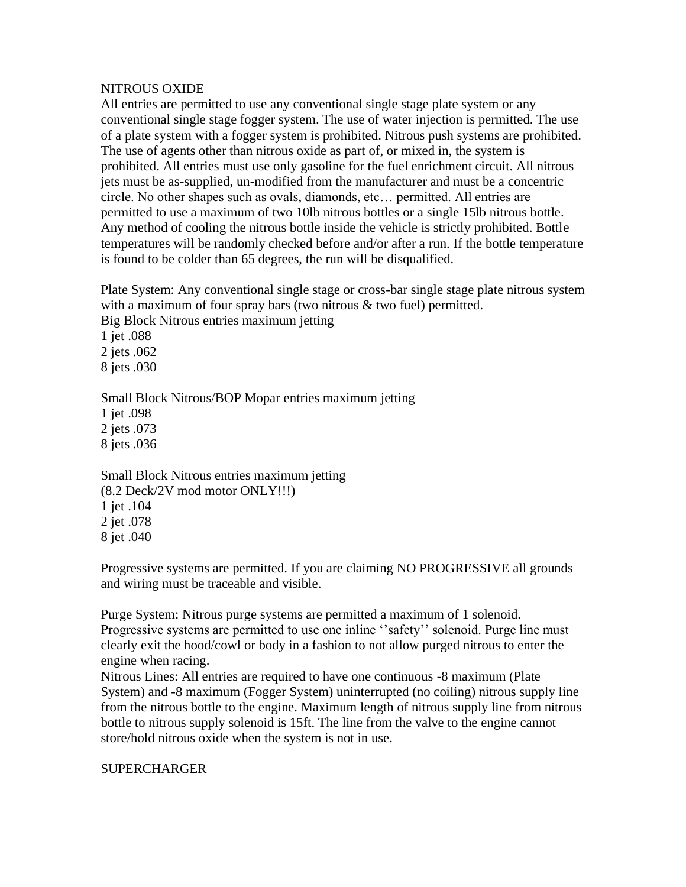### NITROUS OXIDE

All entries are permitted to use any conventional single stage plate system or any conventional single stage fogger system. The use of water injection is permitted. The use of a plate system with a fogger system is prohibited. Nitrous push systems are prohibited. The use of agents other than nitrous oxide as part of, or mixed in, the system is prohibited. All entries must use only gasoline for the fuel enrichment circuit. All nitrous jets must be as-supplied, un-modified from the manufacturer and must be a concentric circle. No other shapes such as ovals, diamonds, etc… permitted. All entries are permitted to use a maximum of two 10lb nitrous bottles or a single 15lb nitrous bottle. Any method of cooling the nitrous bottle inside the vehicle is strictly prohibited. Bottle temperatures will be randomly checked before and/or after a run. If the bottle temperature is found to be colder than 65 degrees, the run will be disqualified.

Plate System: Any conventional single stage or cross-bar single stage plate nitrous system with a maximum of four spray bars (two nitrous & two fuel) permitted.

Big Block Nitrous entries maximum jetting

1 jet .088 2 jets .062 8 jets .030

Small Block Nitrous/BOP Mopar entries maximum jetting 1 jet .098 2 jets .073 8 jets .036

Small Block Nitrous entries maximum jetting (8.2 Deck/2V mod motor ONLY!!!) 1 jet .104 2 jet .078 8 jet .040

Progressive systems are permitted. If you are claiming NO PROGRESSIVE all grounds and wiring must be traceable and visible.

Purge System: Nitrous purge systems are permitted a maximum of 1 solenoid. Progressive systems are permitted to use one inline ''safety'' solenoid. Purge line must clearly exit the hood/cowl or body in a fashion to not allow purged nitrous to enter the engine when racing.

Nitrous Lines: All entries are required to have one continuous -8 maximum (Plate System) and -8 maximum (Fogger System) uninterrupted (no coiling) nitrous supply line from the nitrous bottle to the engine. Maximum length of nitrous supply line from nitrous bottle to nitrous supply solenoid is 15ft. The line from the valve to the engine cannot store/hold nitrous oxide when the system is not in use.

# **SUPERCHARGER**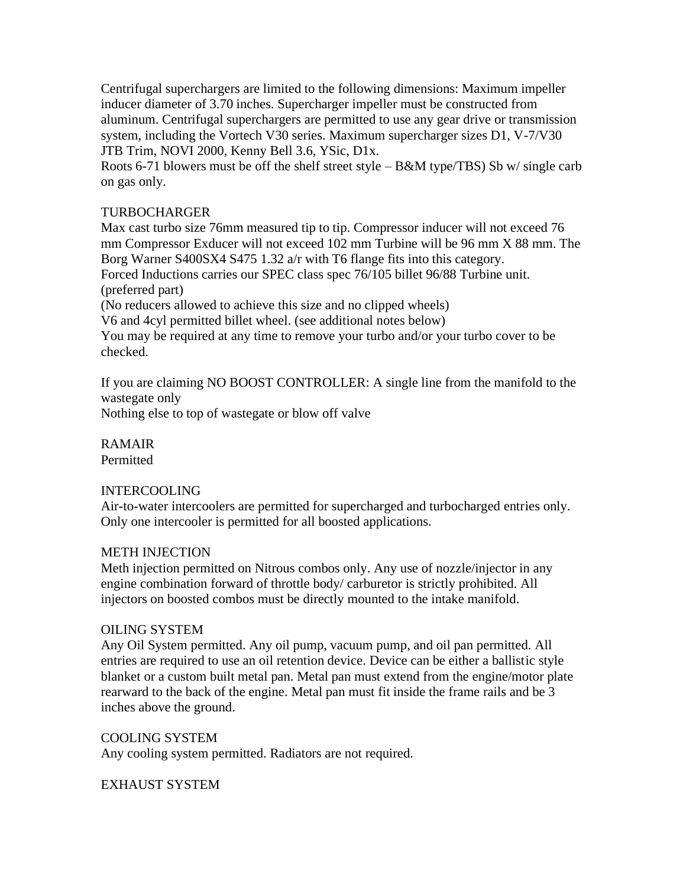Centrifugal superchargers are limited to the following dimensions: Maximum impeller inducer diameter of 3.70 inches. Supercharger impeller must be constructed from aluminum. Centrifugal superchargers are permitted to use any gear drive or transmission system, including the Vortech V30 series. Maximum supercharger sizes D1, V-7/V30 JTB Trim, NOVI 2000, Kenny Bell 3.6, YSic, D1x.

Roots 6-71 blowers must be off the shelf street style – B&M type/TBS) Sb w/ single carb on gas only.

### TURBOCHARGER

Max cast turbo size 76mm measured tip to tip. Compressor inducer will not exceed 76 mm Compressor Exducer will not exceed 102 mm Turbine will be 96 mm X 88 mm. The Borg Warner S400SX4 S475 1.32 a/r with T6 flange fits into this category. Forced Inductions carries our SPEC class spec 76/105 billet 96/88 Turbine unit.

(preferred part)

(No reducers allowed to achieve this size and no clipped wheels)

V6 and 4cyl permitted billet wheel. (see additional notes below)

You may be required at any time to remove your turbo and/or your turbo cover to be checked.

If you are claiming NO BOOST CONTROLLER: A single line from the manifold to the wastegate only

Nothing else to top of wastegate or blow off valve

RAMAIR Permitted

### INTERCOOLING

Air-to-water intercoolers are permitted for supercharged and turbocharged entries only. Only one intercooler is permitted for all boosted applications.

### METH INJECTION

Meth injection permitted on Nitrous combos only. Any use of nozzle/injector in any engine combination forward of throttle body/ carburetor is strictly prohibited. All injectors on boosted combos must be directly mounted to the intake manifold.

### OILING SYSTEM

Any Oil System permitted. Any oil pump, vacuum pump, and oil pan permitted. All entries are required to use an oil retention device. Device can be either a ballistic style blanket or a custom built metal pan. Metal pan must extend from the engine/motor plate rearward to the back of the engine. Metal pan must fit inside the frame rails and be 3 inches above the ground.

COOLING SYSTEM

Any cooling system permitted. Radiators are not required.

EXHAUST SYSTEM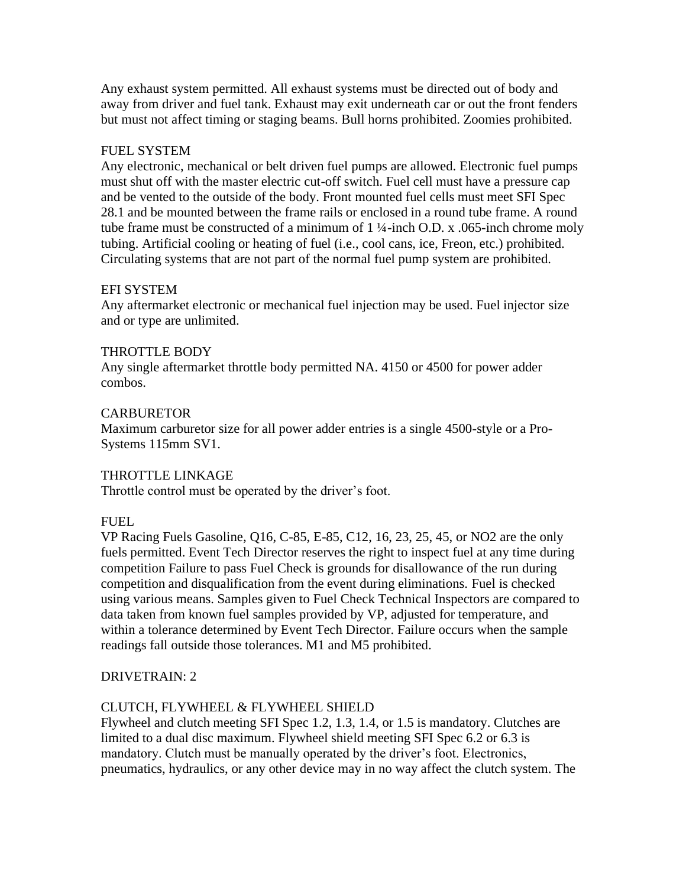Any exhaust system permitted. All exhaust systems must be directed out of body and away from driver and fuel tank. Exhaust may exit underneath car or out the front fenders but must not affect timing or staging beams. Bull horns prohibited. Zoomies prohibited.

## FUEL SYSTEM

Any electronic, mechanical or belt driven fuel pumps are allowed. Electronic fuel pumps must shut off with the master electric cut-off switch. Fuel cell must have a pressure cap and be vented to the outside of the body. Front mounted fuel cells must meet SFI Spec 28.1 and be mounted between the frame rails or enclosed in a round tube frame. A round tube frame must be constructed of a minimum of  $1\frac{1}{4}$ -inch O.D. x .065-inch chrome moly tubing. Artificial cooling or heating of fuel (i.e., cool cans, ice, Freon, etc.) prohibited. Circulating systems that are not part of the normal fuel pump system are prohibited.

## EFI SYSTEM

Any aftermarket electronic or mechanical fuel injection may be used. Fuel injector size and or type are unlimited.

## THROTTLE BODY

Any single aftermarket throttle body permitted NA. 4150 or 4500 for power adder combos.

## **CARBURETOR**

Maximum carburetor size for all power adder entries is a single 4500-style or a Pro-Systems 115mm SV1.

### THROTTLE LINKAGE

Throttle control must be operated by the driver's foot.

### FUEL

VP Racing Fuels Gasoline, Q16, C-85, E-85, C12, 16, 23, 25, 45, or NO2 are the only fuels permitted. Event Tech Director reserves the right to inspect fuel at any time during competition Failure to pass Fuel Check is grounds for disallowance of the run during competition and disqualification from the event during eliminations. Fuel is checked using various means. Samples given to Fuel Check Technical Inspectors are compared to data taken from known fuel samples provided by VP, adjusted for temperature, and within a tolerance determined by Event Tech Director. Failure occurs when the sample readings fall outside those tolerances. M1 and M5 prohibited.

# DRIVETRAIN: 2

# CLUTCH, FLYWHEEL & FLYWHEEL SHIELD

Flywheel and clutch meeting SFI Spec 1.2, 1.3, 1.4, or 1.5 is mandatory. Clutches are limited to a dual disc maximum. Flywheel shield meeting SFI Spec 6.2 or 6.3 is mandatory. Clutch must be manually operated by the driver's foot. Electronics, pneumatics, hydraulics, or any other device may in no way affect the clutch system. The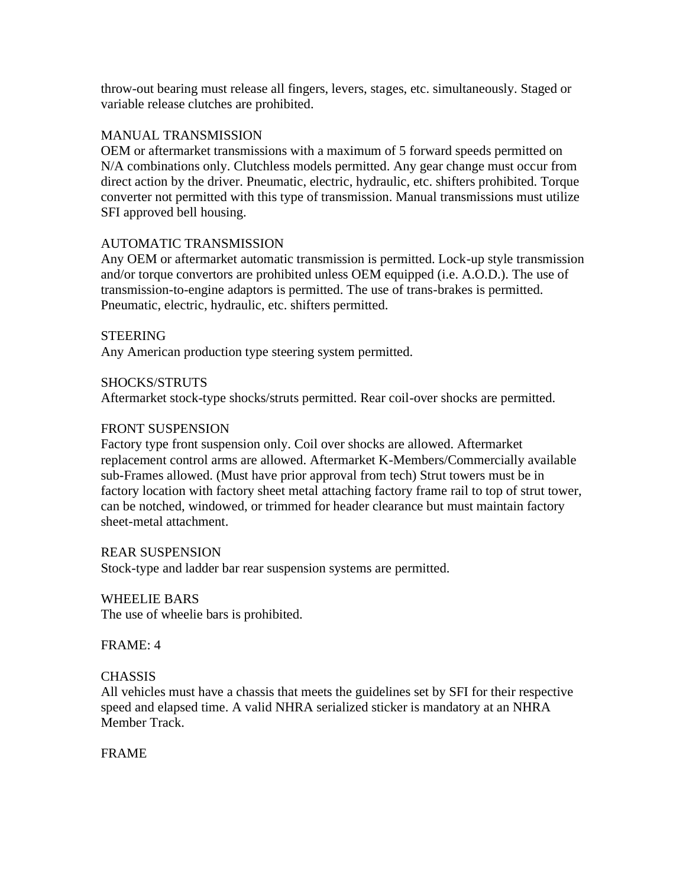throw-out bearing must release all fingers, levers, stages, etc. simultaneously. Staged or variable release clutches are prohibited.

### MANUAL TRANSMISSION

OEM or aftermarket transmissions with a maximum of 5 forward speeds permitted on N/A combinations only. Clutchless models permitted. Any gear change must occur from direct action by the driver. Pneumatic, electric, hydraulic, etc. shifters prohibited. Torque converter not permitted with this type of transmission. Manual transmissions must utilize SFI approved bell housing.

## AUTOMATIC TRANSMISSION

Any OEM or aftermarket automatic transmission is permitted. Lock-up style transmission and/or torque convertors are prohibited unless OEM equipped (i.e. A.O.D.). The use of transmission-to-engine adaptors is permitted. The use of trans-brakes is permitted. Pneumatic, electric, hydraulic, etc. shifters permitted.

### **STEERING**

Any American production type steering system permitted.

### SHOCKS/STRUTS

Aftermarket stock-type shocks/struts permitted. Rear coil-over shocks are permitted.

### FRONT SUSPENSION

Factory type front suspension only. Coil over shocks are allowed. Aftermarket replacement control arms are allowed. Aftermarket K-Members/Commercially available sub-Frames allowed. (Must have prior approval from tech) Strut towers must be in factory location with factory sheet metal attaching factory frame rail to top of strut tower, can be notched, windowed, or trimmed for header clearance but must maintain factory sheet-metal attachment.

### REAR SUSPENSION

Stock-type and ladder bar rear suspension systems are permitted.

### WHEELIE BARS

The use of wheelie bars is prohibited.

### FRAME: 4

### **CHASSIS**

All vehicles must have a chassis that meets the guidelines set by SFI for their respective speed and elapsed time. A valid NHRA serialized sticker is mandatory at an NHRA Member Track.

### FRAME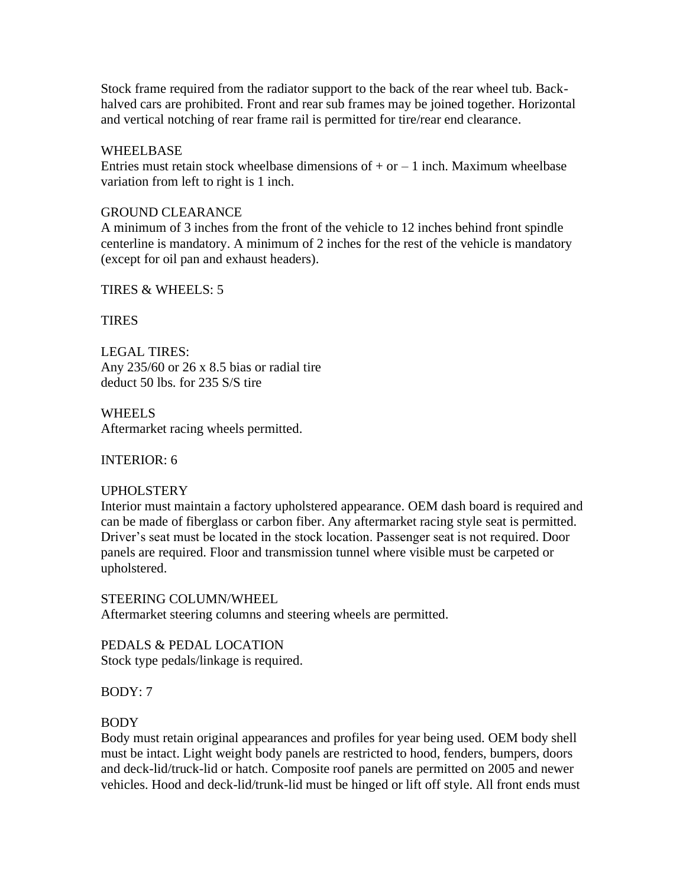Stock frame required from the radiator support to the back of the rear wheel tub. Backhalved cars are prohibited. Front and rear sub frames may be joined together. Horizontal and vertical notching of rear frame rail is permitted for tire/rear end clearance.

#### WHEELBASE

Entries must retain stock wheelbase dimensions of  $+$  or  $-1$  inch. Maximum wheelbase variation from left to right is 1 inch.

#### GROUND CLEARANCE

A minimum of 3 inches from the front of the vehicle to 12 inches behind front spindle centerline is mandatory. A minimum of 2 inches for the rest of the vehicle is mandatory (except for oil pan and exhaust headers).

#### TIRES & WHEELS: 5

#### **TIRES**

LEGAL TIRES: Any 235/60 or 26 x 8.5 bias or radial tire deduct 50 lbs. for 235 S/S tire

**WHEELS** Aftermarket racing wheels permitted.

INTERIOR: 6

### UPHOLSTERY

Interior must maintain a factory upholstered appearance. OEM dash board is required and can be made of fiberglass or carbon fiber. Any aftermarket racing style seat is permitted. Driver's seat must be located in the stock location. Passenger seat is not required. Door panels are required. Floor and transmission tunnel where visible must be carpeted or upholstered.

STEERING COLUMN/WHEEL Aftermarket steering columns and steering wheels are permitted.

PEDALS & PEDAL LOCATION Stock type pedals/linkage is required.

BODY: 7

#### BODY

Body must retain original appearances and profiles for year being used. OEM body shell must be intact. Light weight body panels are restricted to hood, fenders, bumpers, doors and deck-lid/truck-lid or hatch. Composite roof panels are permitted on 2005 and newer vehicles. Hood and deck-lid/trunk-lid must be hinged or lift off style. All front ends must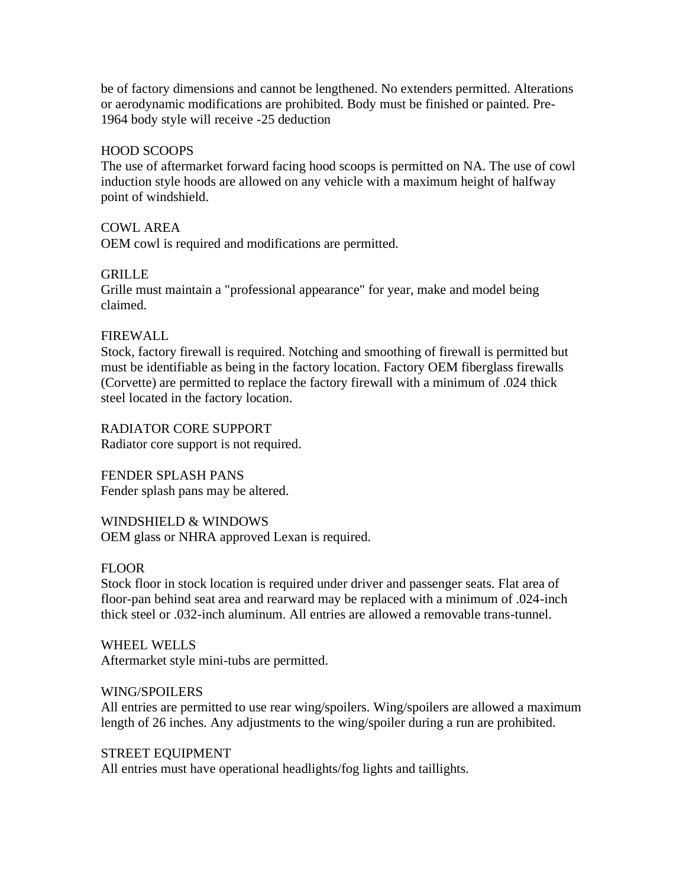be of factory dimensions and cannot be lengthened. No extenders permitted. Alterations or aerodynamic modifications are prohibited. Body must be finished or painted. Pre-1964 body style will receive -25 deduction

### HOOD SCOOPS

The use of aftermarket forward facing hood scoops is permitted on NA. The use of cowl induction style hoods are allowed on any vehicle with a maximum height of halfway point of windshield.

## COWL AREA

OEM cowl is required and modifications are permitted.

## **GRILLE**

Grille must maintain a "professional appearance" for year, make and model being claimed.

### FIREWALL

Stock, factory firewall is required. Notching and smoothing of firewall is permitted but must be identifiable as being in the factory location. Factory OEM fiberglass firewalls (Corvette) are permitted to replace the factory firewall with a minimum of .024 thick steel located in the factory location.

RADIATOR CORE SUPPORT Radiator core support is not required.

FENDER SPLASH PANS Fender splash pans may be altered.

WINDSHIELD & WINDOWS OEM glass or NHRA approved Lexan is required.

### **FLOOR**

Stock floor in stock location is required under driver and passenger seats. Flat area of floor-pan behind seat area and rearward may be replaced with a minimum of .024-inch thick steel or .032-inch aluminum. All entries are allowed a removable trans-tunnel.

WHEEL WELLS Aftermarket style mini-tubs are permitted.

### WING/SPOILERS

All entries are permitted to use rear wing/spoilers. Wing/spoilers are allowed a maximum length of 26 inches. Any adjustments to the wing/spoiler during a run are prohibited.

### STREET EQUIPMENT

All entries must have operational headlights/fog lights and taillights.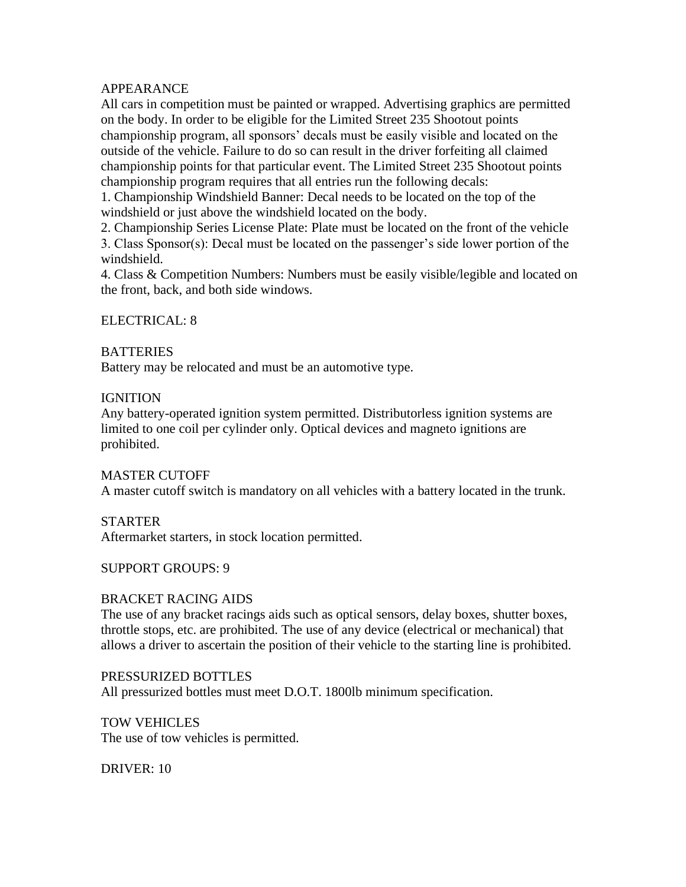### APPEARANCE

All cars in competition must be painted or wrapped. Advertising graphics are permitted on the body. In order to be eligible for the Limited Street 235 Shootout points championship program, all sponsors' decals must be easily visible and located on the outside of the vehicle. Failure to do so can result in the driver forfeiting all claimed championship points for that particular event. The Limited Street 235 Shootout points championship program requires that all entries run the following decals:

1. Championship Windshield Banner: Decal needs to be located on the top of the windshield or just above the windshield located on the body.

2. Championship Series License Plate: Plate must be located on the front of the vehicle 3. Class Sponsor(s): Decal must be located on the passenger's side lower portion of the windshield.

4. Class & Competition Numbers: Numbers must be easily visible/legible and located on the front, back, and both side windows.

## ELECTRICAL: 8

## **BATTERIES**

Battery may be relocated and must be an automotive type.

### **IGNITION**

Any battery-operated ignition system permitted. Distributorless ignition systems are limited to one coil per cylinder only. Optical devices and magneto ignitions are prohibited.

### MASTER CUTOFF

A master cutoff switch is mandatory on all vehicles with a battery located in the trunk.

# STARTER

Aftermarket starters, in stock location permitted.

### SUPPORT GROUPS: 9

### BRACKET RACING AIDS

The use of any bracket racings aids such as optical sensors, delay boxes, shutter boxes, throttle stops, etc. are prohibited. The use of any device (electrical or mechanical) that allows a driver to ascertain the position of their vehicle to the starting line is prohibited.

PRESSURIZED BOTTLES All pressurized bottles must meet D.O.T. 1800lb minimum specification.

TOW VEHICLES The use of tow vehicles is permitted.

DRIVER: 10